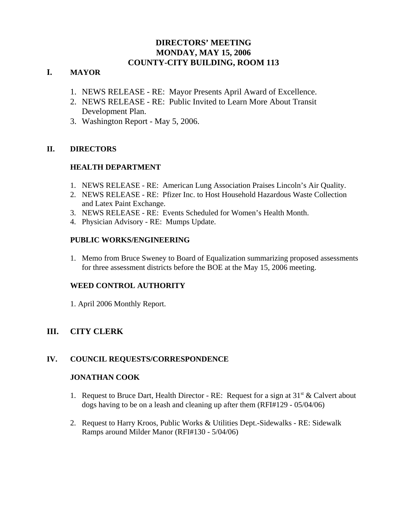# **DIRECTORS' MEETING MONDAY, MAY 15, 2006 COUNTY-CITY BUILDING, ROOM 113**

## **I. MAYOR**

- 1. NEWS RELEASE RE: Mayor Presents April Award of Excellence.
- 2. NEWS RELEASE RE: Public Invited to Learn More About Transit Development Plan.
- 3. Washington Report May 5, 2006.

## **II. DIRECTORS**

## **HEALTH DEPARTMENT**

- 1. NEWS RELEASE RE: American Lung Association Praises Lincoln's Air Quality.
- 2. NEWS RELEASE RE: Pfizer Inc. to Host Household Hazardous Waste Collection and Latex Paint Exchange.
- 3. NEWS RELEASE RE: Events Scheduled for Women's Health Month.
- 4. Physician Advisory RE: Mumps Update.

### **PUBLIC WORKS/ENGINEERING**

1. Memo from Bruce Sweney to Board of Equalization summarizing proposed assessments for three assessment districts before the BOE at the May 15, 2006 meeting.

## **WEED CONTROL AUTHORITY**

1. April 2006 Monthly Report.

# **III. CITY CLERK**

## **IV. COUNCIL REQUESTS/CORRESPONDENCE**

## **JONATHAN COOK**

- 1. Request to Bruce Dart, Health Director RE: Request for a sign at  $31<sup>st</sup> \&$  Calvert about dogs having to be on a leash and cleaning up after them (RFI#129 - 05/04/06)
- 2. Request to Harry Kroos, Public Works & Utilities Dept.-Sidewalks RE: Sidewalk Ramps around Milder Manor (RFI#130 - 5/04/06)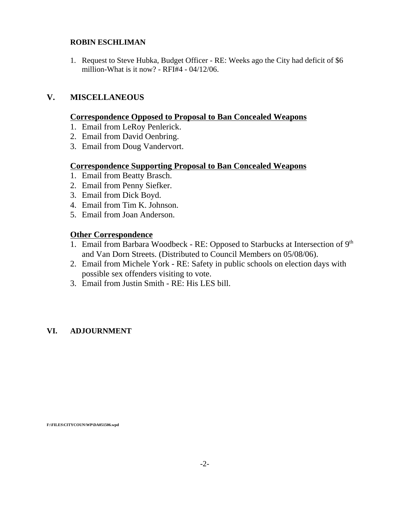#### **ROBIN ESCHLIMAN**

1. Request to Steve Hubka, Budget Officer - RE: Weeks ago the City had deficit of \$6 million-What is it now? - RFI#4 - 04/12/06.

# **V. MISCELLANEOUS**

### **Correspondence Opposed to Proposal to Ban Concealed Weapons**

- 1. Email from LeRoy Penlerick.
- 2. Email from David Oenbring.
- 3. Email from Doug Vandervort.

## **Correspondence Supporting Proposal to Ban Concealed Weapons**

- 1. Email from Beatty Brasch.
- 2. Email from Penny Siefker.
- 3. Email from Dick Boyd.
- 4. Email from Tim K. Johnson.
- 5. Email from Joan Anderson.

## **Other Correspondence**

- 1. Email from Barbara Woodbeck RE: Opposed to Starbucks at Intersection of 9th and Van Dorn Streets. (Distributed to Council Members on 05/08/06).
- 2. Email from Michele York RE: Safety in public schools on election days with possible sex offenders visiting to vote.
- 3. Email from Justin Smith RE: His LES bill.

## **VI. ADJOURNMENT**

**F:\FILES\CITYCOUN\WP\DA051506.wpd**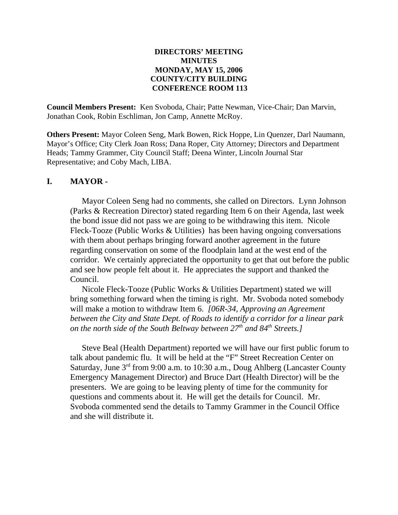## **DIRECTORS' MEETING MINUTES MONDAY, MAY 15, 2006 COUNTY/CITY BUILDING CONFERENCE ROOM 113**

**Council Members Present:** Ken Svoboda, Chair; Patte Newman, Vice-Chair; Dan Marvin, Jonathan Cook, Robin Eschliman, Jon Camp, Annette McRoy.

**Others Present:** Mayor Coleen Seng, Mark Bowen, Rick Hoppe, Lin Quenzer, Darl Naumann, Mayor's Office; City Clerk Joan Ross; Dana Roper, City Attorney; Directors and Department Heads; Tammy Grammer, City Council Staff; Deena Winter, Lincoln Journal Star Representative; and Coby Mach, LIBA.

## **I. MAYOR -**

Mayor Coleen Seng had no comments, she called on Directors. Lynn Johnson (Parks & Recreation Director) stated regarding Item 6 on their Agenda, last week the bond issue did not pass we are going to be withdrawing this item. Nicole Fleck-Tooze (Public Works & Utilities) has been having ongoing conversations with them about perhaps bringing forward another agreement in the future regarding conservation on some of the floodplain land at the west end of the corridor. We certainly appreciated the opportunity to get that out before the public and see how people felt about it. He appreciates the support and thanked the Council.

Nicole Fleck-Tooze (Public Works & Utilities Department) stated we will bring something forward when the timing is right. Mr. Svoboda noted somebody will make a motion to withdraw Item 6. *[06R-34, Approving an Agreement between the City and State Dept. of Roads to identify a corridor for a linear park on the north side of the South Beltway between 27th and 84th Streets.]*

Steve Beal (Health Department) reported we will have our first public forum to talk about pandemic flu. It will be held at the "F" Street Recreation Center on Saturday, June 3<sup>rd</sup> from 9:00 a.m. to 10:30 a.m., Doug Ahlberg (Lancaster County Emergency Management Director) and Bruce Dart (Health Director) will be the presenters. We are going to be leaving plenty of time for the community for questions and comments about it. He will get the details for Council. Mr. Svoboda commented send the details to Tammy Grammer in the Council Office and she will distribute it.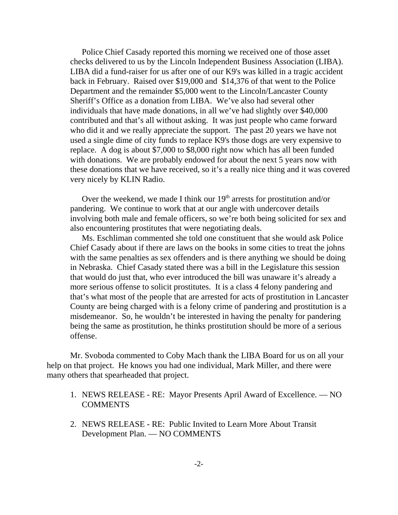Police Chief Casady reported this morning we received one of those asset checks delivered to us by the Lincoln Independent Business Association (LIBA). LIBA did a fund-raiser for us after one of our K9's was killed in a tragic accident back in February. Raised over \$19,000 and \$14,376 of that went to the Police Department and the remainder \$5,000 went to the Lincoln/Lancaster County Sheriff's Office as a donation from LIBA. We've also had several other individuals that have made donations, in all we've had slightly over \$40,000 contributed and that's all without asking. It was just people who came forward who did it and we really appreciate the support. The past 20 years we have not used a single dime of city funds to replace K9's those dogs are very expensive to replace. A dog is about \$7,000 to \$8,000 right now which has all been funded with donations. We are probably endowed for about the next 5 years now with these donations that we have received, so it's a really nice thing and it was covered very nicely by KLIN Radio.

Over the weekend, we made I think our  $19<sup>th</sup>$  arrests for prostitution and/or pandering. We continue to work that at our angle with undercover details involving both male and female officers, so we're both being solicited for sex and also encountering prostitutes that were negotiating deals.

Ms. Eschliman commented she told one constituent that she would ask Police Chief Casady about if there are laws on the books in some cities to treat the johns with the same penalties as sex offenders and is there anything we should be doing in Nebraska. Chief Casady stated there was a bill in the Legislature this session that would do just that, who ever introduced the bill was unaware it's already a more serious offense to solicit prostitutes. It is a class 4 felony pandering and that's what most of the people that are arrested for acts of prostitution in Lancaster County are being charged with is a felony crime of pandering and prostitution is a misdemeanor. So, he wouldn't be interested in having the penalty for pandering being the same as prostitution, he thinks prostitution should be more of a serious offense.

Mr. Svoboda commented to Coby Mach thank the LIBA Board for us on all your help on that project. He knows you had one individual, Mark Miller, and there were many others that spearheaded that project.

- 1. NEWS RELEASE RE: Mayor Presents April Award of Excellence. NO **COMMENTS**
- 2. NEWS RELEASE RE: Public Invited to Learn More About Transit Development Plan. — NO COMMENTS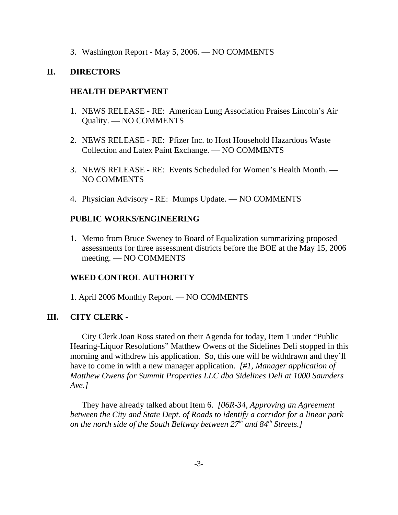3. Washington Report - May 5, 2006. — NO COMMENTS

### **II. DIRECTORS**

#### **HEALTH DEPARTMENT**

- 1. NEWS RELEASE RE: American Lung Association Praises Lincoln's Air Quality. — NO COMMENTS
- 2. NEWS RELEASE RE: Pfizer Inc. to Host Household Hazardous Waste Collection and Latex Paint Exchange. — NO COMMENTS
- 3. NEWS RELEASE RE: Events Scheduled for Women's Health Month. NO COMMENTS
- 4. Physician Advisory RE: Mumps Update. NO COMMENTS

#### **PUBLIC WORKS/ENGINEERING**

1. Memo from Bruce Sweney to Board of Equalization summarizing proposed assessments for three assessment districts before the BOE at the May 15, 2006 meeting. — NO COMMENTS

## **WEED CONTROL AUTHORITY**

1. April 2006 Monthly Report. — NO COMMENTS

#### **III. CITY CLERK -**

City Clerk Joan Ross stated on their Agenda for today, Item 1 under "Public Hearing-Liquor Resolutions" Matthew Owens of the Sidelines Deli stopped in this morning and withdrew his application. So, this one will be withdrawn and they'll have to come in with a new manager application. *[#1, Manager application of Matthew Owens for Summit Properties LLC dba Sidelines Deli at 1000 Saunders Ave.]* 

They have already talked about Item 6. *[06R-34, Approving an Agreement between the City and State Dept. of Roads to identify a corridor for a linear park on the north side of the South Beltway between*  $27<sup>th</sup>$  *and*  $84<sup>th</sup>$  *Streets.]*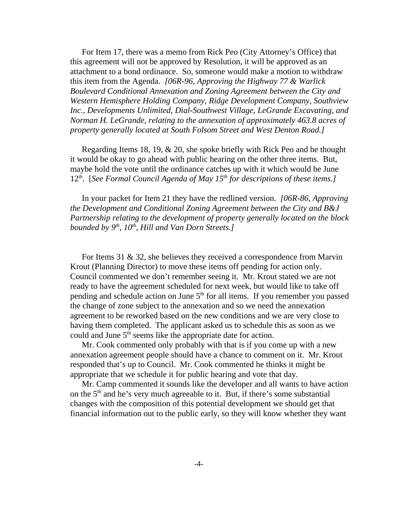For Item 17, there was a memo from Rick Peo (City Attorney's Office) that this agreement will not be approved by Resolution, it will be approved as an attachment to a bond ordinance. So, someone would make a motion to withdraw this item from the Agenda. *[06R-96, Approving the Highway 77 & Warlick Boulevard Conditional Annexation and Zoning Agreement between the City and Western Hemisphere Holding Company, Ridge Development Company, Southview Inc., Developments Unlimited, Dial-Southwest Village, LeGrande Excavating, and Norman H. LeGrande, relating to the annexation of approximately 463.8 acres of property generally located at South Folsom Street and West Denton Road.]* 

Regarding Items 18, 19, & 20, she spoke briefly with Rick Peo and he thought it would be okay to go ahead with public hearing on the other three items. But, maybe hold the vote until the ordinance catches up with it which would be June 12th. [*See Formal Council Agenda of May 15th for descriptions of these items.]* 

In your packet for Item 21 they have the redlined version. *[06R-86, Approving the Development and Conditional Zoning Agreement between the City and B&J Partnership relating to the development of property generally located on the block bounded by 9<sup>th</sup>, 10<sup>th</sup>, Hill and Van Dorn Streets.]* 

For Items 31 & 32, she believes they received a correspondence from Marvin Krout (Planning Director) to move these items off pending for action only. Council commented we don't remember seeing it. Mr. Krout stated we are not ready to have the agreement scheduled for next week, but would like to take off pending and schedule action on June  $5<sup>th</sup>$  for all items. If you remember you passed the change of zone subject to the annexation and so we need the annexation agreement to be reworked based on the new conditions and we are very close to having them completed. The applicant asked us to schedule this as soon as we could and June  $5<sup>th</sup>$  seems like the appropriate date for action.

Mr. Cook commented only probably with that is if you come up with a new annexation agreement people should have a chance to comment on it. Mr. Krout responded that's up to Council. Mr. Cook commented he thinks it might be appropriate that we schedule it for public hearing and vote that day.

Mr. Camp commented it sounds like the developer and all wants to have action on the  $5<sup>th</sup>$  and he's very much agreeable to it. But, if there's some substantial changes with the composition of this potential development we should get that financial information out to the public early, so they will know whether they want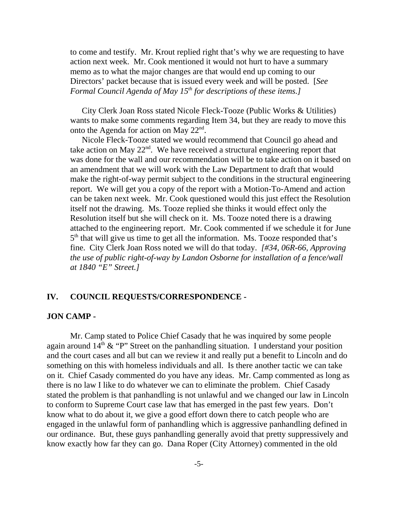to come and testify. Mr. Krout replied right that's why we are requesting to have action next week. Mr. Cook mentioned it would not hurt to have a summary memo as to what the major changes are that would end up coming to our Directors' packet because that is issued every week and will be posted. [*See Formal Council Agenda of May 15<sup>th</sup> for descriptions of these items.]* 

City Clerk Joan Ross stated Nicole Fleck-Tooze (Public Works & Utilities) wants to make some comments regarding Item 34, but they are ready to move this onto the Agenda for action on May  $22<sup>nd</sup>$ .

Nicole Fleck-Tooze stated we would recommend that Council go ahead and take action on May  $22<sup>nd</sup>$ . We have received a structural engineering report that was done for the wall and our recommendation will be to take action on it based on an amendment that we will work with the Law Department to draft that would make the right-of-way permit subject to the conditions in the structural engineering report. We will get you a copy of the report with a Motion-To-Amend and action can be taken next week. Mr. Cook questioned would this just effect the Resolution itself not the drawing. Ms. Tooze replied she thinks it would effect only the Resolution itself but she will check on it. Ms. Tooze noted there is a drawing attached to the engineering report. Mr. Cook commented if we schedule it for June  $5<sup>th</sup>$  that will give us time to get all the information. Ms. Tooze responded that's fine. City Clerk Joan Ross noted we will do that today. *[#34, 06R-66, Approving the use of public right-of-way by Landon Osborne for installation of a fence/wall at 1840 "E" Street.]* 

### **IV. COUNCIL REQUESTS/CORRESPONDENCE -**

#### **JON CAMP -**

Mr. Camp stated to Police Chief Casady that he was inquired by some people again around  $14<sup>th</sup>$  & "P" Street on the panhandling situation. I understand your position and the court cases and all but can we review it and really put a benefit to Lincoln and do something on this with homeless individuals and all. Is there another tactic we can take on it. Chief Casady commented do you have any ideas. Mr. Camp commented as long as there is no law I like to do whatever we can to eliminate the problem. Chief Casady stated the problem is that panhandling is not unlawful and we changed our law in Lincoln to conform to Supreme Court case law that has emerged in the past few years. Don't know what to do about it, we give a good effort down there to catch people who are engaged in the unlawful form of panhandling which is aggressive panhandling defined in our ordinance. But, these guys panhandling generally avoid that pretty suppressively and know exactly how far they can go. Dana Roper (City Attorney) commented in the old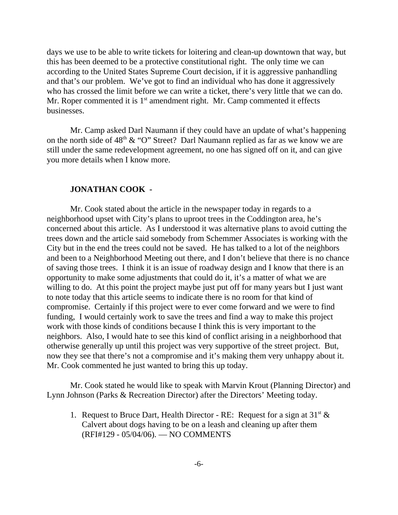days we use to be able to write tickets for loitering and clean-up downtown that way, but this has been deemed to be a protective constitutional right. The only time we can according to the United States Supreme Court decision, if it is aggressive panhandling and that's our problem. We've got to find an individual who has done it aggressively who has crossed the limit before we can write a ticket, there's very little that we can do. Mr. Roper commented it is  $1<sup>st</sup>$  amendment right. Mr. Camp commented it effects businesses.

Mr. Camp asked Darl Naumann if they could have an update of what's happening on the north side of  $48<sup>th</sup> \& ^{\circ}$  O" Street? Darl Naumann replied as far as we know we are still under the same redevelopment agreement, no one has signed off on it, and can give you more details when I know more.

#### **JONATHAN COOK -**

Mr. Cook stated about the article in the newspaper today in regards to a neighborhood upset with City's plans to uproot trees in the Coddington area, he's concerned about this article. As I understood it was alternative plans to avoid cutting the trees down and the article said somebody from Schemmer Associates is working with the City but in the end the trees could not be saved. He has talked to a lot of the neighbors and been to a Neighborhood Meeting out there, and I don't believe that there is no chance of saving those trees. I think it is an issue of roadway design and I know that there is an opportunity to make some adjustments that could do it, it's a matter of what we are willing to do. At this point the project maybe just put off for many years but I just want to note today that this article seems to indicate there is no room for that kind of compromise. Certainly if this project were to ever come forward and we were to find funding, I would certainly work to save the trees and find a way to make this project work with those kinds of conditions because I think this is very important to the neighbors. Also, I would hate to see this kind of conflict arising in a neighborhood that otherwise generally up until this project was very supportive of the street project. But, now they see that there's not a compromise and it's making them very unhappy about it. Mr. Cook commented he just wanted to bring this up today.

Mr. Cook stated he would like to speak with Marvin Krout (Planning Director) and Lynn Johnson (Parks & Recreation Director) after the Directors' Meeting today.

1. Request to Bruce Dart, Health Director - RE: Request for a sign at  $31<sup>st</sup>$  & Calvert about dogs having to be on a leash and cleaning up after them (RFI#129 - 05/04/06). — NO COMMENTS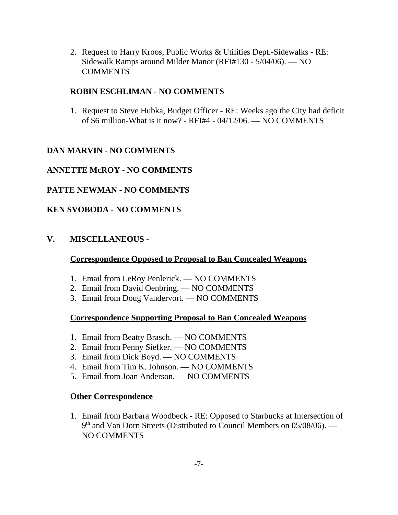2. Request to Harry Kroos, Public Works & Utilities Dept.-Sidewalks - RE: Sidewalk Ramps around Milder Manor (RFI#130 - 5/04/06). — NO **COMMENTS** 

## **ROBIN ESCHLIMAN - NO COMMENTS**

1. Request to Steve Hubka, Budget Officer - RE: Weeks ago the City had deficit of \$6 million-What is it now? - RFI#4 - 04/12/06. **—** NO COMMENTS

# **DAN MARVIN - NO COMMENTS**

# **ANNETTE McROY - NO COMMENTS**

# **PATTE NEWMAN - NO COMMENTS**

# **KEN SVOBODA - NO COMMENTS**

# **V. MISCELLANEOUS** -

## **Correspondence Opposed to Proposal to Ban Concealed Weapons**

- 1. Email from LeRoy Penlerick. NO COMMENTS
- 2. Email from David Oenbring. NO COMMENTS
- 3. Email from Doug Vandervort. NO COMMENTS

# **Correspondence Supporting Proposal to Ban Concealed Weapons**

- 1. Email from Beatty Brasch. NO COMMENTS
- 2. Email from Penny Siefker. NO COMMENTS
- 3. Email from Dick Boyd. NO COMMENTS
- 4. Email from Tim K. Johnson. NO COMMENTS
- 5. Email from Joan Anderson. NO COMMENTS

## **Other Correspondence**

1. Email from Barbara Woodbeck - RE: Opposed to Starbucks at Intersection of  $9<sup>th</sup>$  and Van Dorn Streets (Distributed to Council Members on 05/08/06). — NO COMMENTS